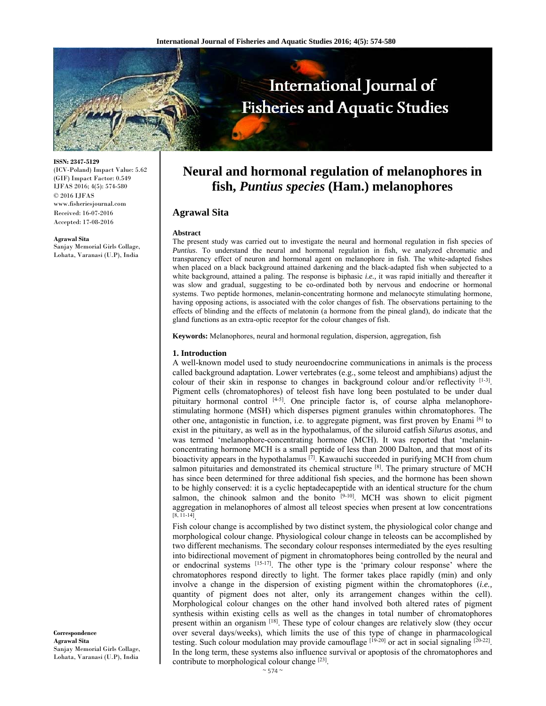

**ISSN: 2347-5129** 

(ICV-Poland) Impact Value: 5.62 (GIF) Impact Factor: 0.549 IJFAS 2016; 4(5): 574-580 © 2016 IJFAS www.fisheriesjournal.com Received: 16-07-2016 Accepted: 17-08-2016

#### **Agrawal Sita**

Sanjay Memorial Girls Collage, Lohata, Varanasi (U.P), India

**Correspondence Agrawal Sita**  Sanjay Memorial Girls Collage, Lohata, Varanasi (U.P), India

# **Neural and hormonal regulation of melanophores in fish,** *Puntius species* **(Ham.) melanophores**

# **Agrawal Sita**

### **Abstract**

The present study was carried out to investigate the neural and hormonal regulation in fish species of *Puntius*. To understand the neural and hormonal regulation in fish, we analyzed chromatic and transparency effect of neuron and hormonal agent on melanophore in fish. The white-adapted fishes when placed on a black background attained darkening and the black-adapted fish when subjected to a white background, attained a paling. The response is biphasic *i.e.,* it was rapid initially and thereafter it was slow and gradual, suggesting to be co-ordinated both by nervous and endocrine or hormonal systems. Two peptide hormones, melanin-concentrating hormone and melanocyte stimulating hormone, having opposing actions, is associated with the color changes of fish. The observations pertaining to the effects of blinding and the effects of melatonin (a hormone from the pineal gland), do indicate that the gland functions as an extra-optic receptor for the colour changes of fish.

**Keywords:** Melanophores, neural and hormonal regulation, dispersion, aggregation, fish

### **1. Introduction**

A well-known model used to study neuroendocrine communications in animals is the process called background adaptation. Lower vertebrates (e.g., some teleost and amphibians) adjust the colour of their skin in response to changes in background colour and/or reflectivity [1-3]. Pigment cells (chromatophores) of teleost fish have long been postulated to be under dual pituitary hormonal control  $[4-5]$ . One principle factor is, of course alpha melanophorestimulating hormone (MSH) which disperses pigment granules within chromatophores. The other one, antagonistic in function, i.e. to aggregate pigment, was first proven by Enami [6] to exist in the pituitary, as well as in the hypothalamus, of the siluroid catfish *Silurus asotus*, and was termed 'melanophore-concentrating hormone (MCH). It was reported that 'melaninconcentrating hormone MCH is a small peptide of less than 2000 Dalton, and that most of its bioactivity appears in the hypothalamus  $[7]$ . Kawauchi succeeded in purifying MCH from chum salmon pituitaries and demonstrated its chemical structure  $[8]$ . The primary structure of MCH has since been determined for three additional fish species, and the hormone has been shown to be highly conserved: it is a cyclic heptadecapeptide with an identical structure for the chum salmon, the chinook salmon and the bonito  $[9-10]$ . MCH was shown to elicit pigment aggregation in melanophores of almost all teleost species when present at low concentrations  $[8, 11-14]$ 

Fish colour change is accomplished by two distinct system, the physiological color change and morphological colour change. Physiological colour change in teleosts can be accomplished by two different mechanisms. The secondary colour responses intermediated by the eyes resulting into bidirectional movement of pigment in chromatophores being controlled by the neural and or endocrinal systems [15-17]. The other type is the 'primary colour response' where the chromatophores respond directly to light. The former takes place rapidly (min) and only involve a change in the dispersion of existing pigment within the chromatophores (*i.e.,* quantity of pigment does not alter, only its arrangement changes within the cell). Morphological colour changes on the other hand involved both altered rates of pigment synthesis within existing cells as well as the changes in total number of chromatophores present within an organism [18]. These type of colour changes are relatively slow (they occur over several days/weeks), which limits the use of this type of change in pharmacological testing. Such colour modulation may provide camouflage [19-20] or act in social signaling [20-22]. In the long term, these systems also influence survival or apoptosis of the chromatophores and contribute to morphological colour change [23].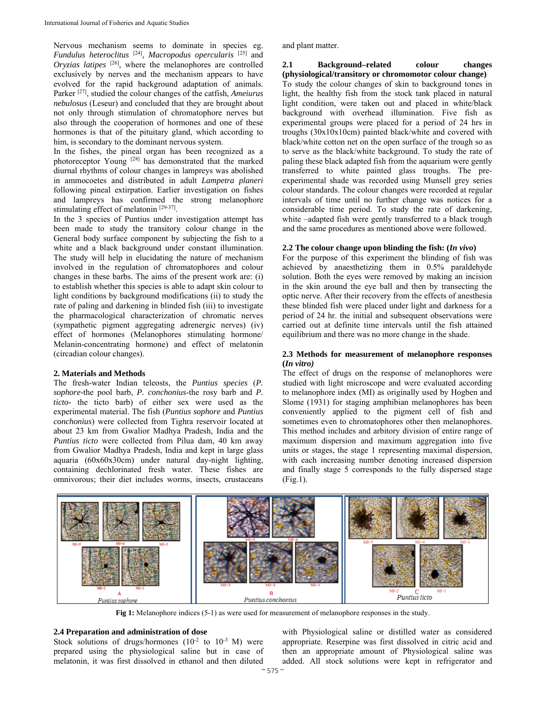Nervous mechanism seems to dominate in species eg. *Fundulus heteroclitus* [24]*, Macropodus opercularis* [25] and *Oryzias latipes* [26], where the melanophores are controlled exclusively by nerves and the mechanism appears to have evolved for the rapid background adaptation of animals. Parker [27], studied the colour changes of the catfish, *Ameiurus nebulosus* (Leseur) and concluded that they are brought about not only through stimulation of chromatophore nerves but also through the cooperation of hormones and one of these hormones is that of the pituitary gland, which according to him, is secondary to the dominant nervous system.

In the fishes, the pineal organ has been recognized as a photoreceptor Young [28] has demonstrated that the marked diurnal rhythms of colour changes in lampreys was abolished in ammocoetes and distributed in adult *Lampetra planeri* following pineal extirpation. Earlier investigation on fishes and lampreys has confirmed the strong melanophore stimulating effect of melatonin [29-37].

In the 3 species of Puntius under investigation attempt has been made to study the transitory colour change in the General body surface component by subjecting the fish to a white and a black background under constant illumination. The study will help in elucidating the nature of mechanism involved in the regulation of chromatophores and colour changes in these barbs. The aims of the present work are: (i) to establish whether this species is able to adapt skin colour to light conditions by background modifications (ii) to study the rate of paling and darkening in blinded fish (iii) to investigate the pharmacological characterization of chromatic nerves (sympathetic pigment aggregating adrenergic nerves) (iv) effect of hormones (Melanophores stimulating hormone/ Melanin-concentrating hormone) and effect of melatonin (circadian colour changes).

### **2. Materials and Methods**

The fresh-water Indian teleosts, the *Puntius species* (*P. sophore-*the pool barb, *P. conchonius*-the rosy barb and *P. ticto*- the ticto barb) of either sex were used as the experimental material. The fish (*Puntius sophore* and *Puntius conchonius*) were collected from Tighra reservoir located at about 23 km from Gwalior Madhya Pradesh, India and the *Puntius ticto* were collected from Pilua dam, 40 km away from Gwalior Madhya Pradesh, India and kept in large glass aquaria (60x60x30cm) under natural day-night lighting, containing dechlorinated fresh water. These fishes are omnivorous; their diet includes worms, insects, crustaceans

and plant matter.

# **2.1 Background–related colour changes (physiological/transitory or chromomotor colour change)**

To study the colour changes of skin to background tones in light, the healthy fish from the stock tank placed in natural light condition, were taken out and placed in white/black background with overhead illumination. Five fish as experimental groups were placed for a period of 24 hrs in troughs (30x10x10cm) painted black/white and covered with black/white cotton net on the open surface of the trough so as to serve as the black/white background. To study the rate of paling these black adapted fish from the aquarium were gently transferred to white painted glass troughs. The preexperimental shade was recorded using Munsell grey series colour standards. The colour changes were recorded at regular intervals of time until no further change was notices for a considerable time period. To study the rate of darkening, white –adapted fish were gently transferred to a black trough and the same procedures as mentioned above were followed.

### **2.2 The colour change upon blinding the fish: (***In vivo***)**

For the purpose of this experiment the blinding of fish was achieved by anaesthetizing them in 0.5% paraldehyde solution. Both the eyes were removed by making an incision in the skin around the eye ball and then by transecting the optic nerve. After their recovery from the effects of anesthesia these blinded fish were placed under light and darkness for a period of 24 hr. the initial and subsequent observations were carried out at definite time intervals until the fish attained equilibrium and there was no more change in the shade.

# **2.3 Methods for measurement of melanophore responses (***In vitro)*

The effect of drugs on the response of melanophores were studied with light microscope and were evaluated according to melanophore index (MI) as originally used by Hogben and Slome (1931) for staging amphibian melanophores has been conveniently applied to the pigment cell of fish and sometimes even to chromatophores other then melanophores. This method includes and arbitory division of entire range of maximum dispersion and maximum aggregation into five units or stages, the stage 1 representing maximal dispersion, with each increasing number denoting increased dispersion and finally stage 5 corresponds to the fully dispersed stage (Fig.1).



**Fig 1:** Melanophore indices (5-1) as were used for measurement of melanophore responses in the study.

# **2.4 Preparation and administration of dose**

Stock solutions of drugs/hormones  $(10^{-2}$  to  $10^{-3}$  M) were prepared using the physiological saline but in case of melatonin, it was first dissolved in ethanol and then diluted

with Physiological saline or distilled water as considered appropriate. Reserpine was first dissolved in citric acid and then an appropriate amount of Physiological saline was added. All stock solutions were kept in refrigerator and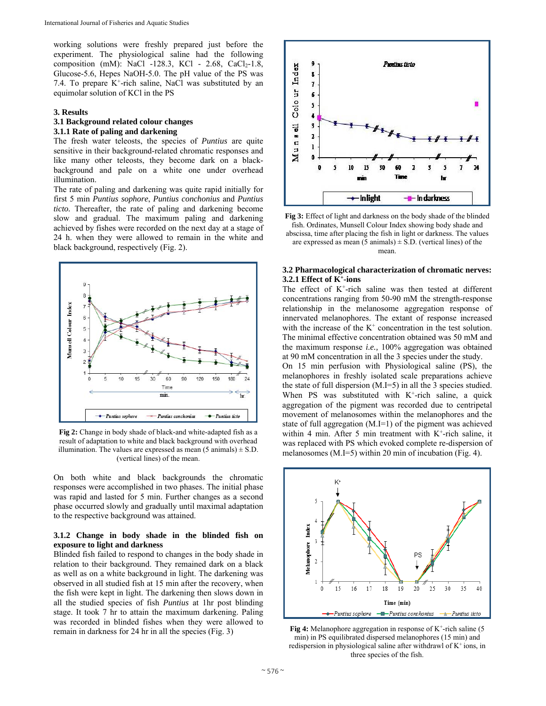working solutions were freshly prepared just before the experiment. The physiological saline had the following composition (mM): NaCl -128.3, KCl - 2.68, CaCl<sub>2</sub>-1.8, Glucose-5.6, Hepes NaOH-5.0. The pH value of the PS was 7.4. To prepare  $K^+$ -rich saline, NaCl was substituted by an equimolar solution of KCl in the PS

### **3. Results**

# **3.1 Background related colour changes**

# **3.1.1 Rate of paling and darkening**

The fresh water teleosts, the species of *Puntius* are quite sensitive in their background-related chromatic responses and like many other teleosts, they become dark on a blackbackground and pale on a white one under overhead illumination.

The rate of paling and darkening was quite rapid initially for first 5 min *Puntius sophore*, *Puntius conchonius* and *Puntius ticto.* Thereafter, the rate of paling and darkening become slow and gradual. The maximum paling and darkening achieved by fishes were recorded on the next day at a stage of 24 h. when they were allowed to remain in the white and black background, respectively (Fig. 2).



**Fig 2:** Change in body shade of black-and white-adapted fish as a result of adaptation to white and black background with overhead illumination. The values are expressed as mean  $(5 \text{ animals}) \pm S.D.$ (vertical lines) of the mean.

On both white and black backgrounds the chromatic responses were accomplished in two phases. The initial phase was rapid and lasted for 5 min. Further changes as a second phase occurred slowly and gradually until maximal adaptation to the respective background was attained.

# **3.1.2 Change in body shade in the blinded fish on exposure to light and darkness**

Blinded fish failed to respond to changes in the body shade in relation to their background. They remained dark on a black as well as on a white background in light. The darkening was observed in all studied fish at 15 min after the recovery, when the fish were kept in light. The darkening then slows down in all the studied species of fish *Puntius* at 1hr post blinding stage. It took 7 hr to attain the maximum darkening. Paling was recorded in blinded fishes when they were allowed to remain in darkness for 24 hr in all the species (Fig. 3)





# **3.2 Pharmacological characterization of chromatic nerves: 3.2.1 Effect of K+-ions**

The effect of  $K^+$ -rich saline was then tested at different concentrations ranging from 50-90 mM the strength-response relationship in the melanosome aggregation response of innervated melanophores. The extant of response increased with the increase of the  $K^+$  concentration in the test solution. The minimal effective concentration obtained was 50 mM and the maximum response *i.e.,* 100% aggregation was obtained at 90 mM concentration in all the 3 species under the study.

On 15 min perfusion with Physiological saline (PS), the melanophores in freshly isolated scale preparations achieve the state of full dispersion (M.I=5) in all the 3 species studied. When PS was substituted with  $K^+$ -rich saline, a quick aggregation of the pigment was recorded due to centripetal movement of melanosomes within the melanophores and the state of full aggregation (M.I=1) of the pigment was achieved within 4 min. After 5 min treatment with  $K^+$ -rich saline, it was replaced with PS which evoked complete re-dispersion of melanosomes (M.I=5) within 20 min of incubation (Fig. 4).



**Fig 4:** Melanophore aggregation in response of K<sup>+</sup>-rich saline (5) min) in PS equilibrated dispersed melanophores (15 min) and redispersion in physiological saline after withdrawl of  $K^+$  ions, in three species of the fish.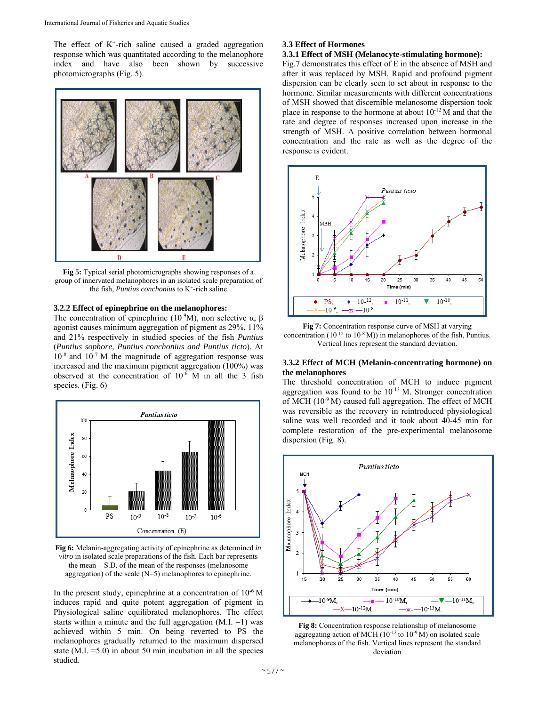The effect of  $K^+$ -rich saline caused a graded aggregation response which was quantitated according to the melanophore index and have also been shown by successive photomicrographs (Fig. 5).



**Fig 5:** Typical serial photomicrographs showing responses of a group of innervated melanophores in an isolated scale preparation of the fish, *Puntius conchonius* to K<sup>+</sup>-rich saline

## **3.2.2 Effect of epinephrine on the melanophores:**

The concentration of epinephrine (10<sup>-9</sup>M), non selective α, β agonist causes minimum aggregation of pigment as 29%, 11% and 21% respectively in studied species of the fish *Puntius*  (*Puntius sophore, Puntius conchonius and Puntius ticto*)*.* At  $10^{-8}$  and  $10^{-7}$  M the magnitude of aggregation response was increased and the maximum pigment aggregation (100%) was observed at the concentration of 10-6 M in all the 3 fish species. (Fig. 6)



**Fig 6:** Melanin-aggregating activity of epinephrine as determined *in vitro* in isolated scale preparations of the fish. Each bar represents the mean  $\pm$  S.D. of the mean of the responses (melanosome aggregation) of the scale (N=5) melanophores to epinephrine.

In the present study, epinephrine at a concentration of  $10^{-6}$  M induces rapid and quite potent aggregation of pigment in Physiological saline equilibrated melanophores. The effect starts within a minute and the full aggregation (M.I. =1) was achieved within 5 min. On being reverted to PS the melanophores gradually returned to the maximum dispersed state  $(M.I. = 5.0)$  in about 50 min incubation in all the species studied.

# **3.3 Effect of Hormones**

**3.3.1 Effect of MSH (Melanocyte-stimulating hormone):**  Fig.7 demonstrates this effect of E in the absence of MSH and after it was replaced by MSH. Rapid and profound pigment dispersion can be clearly seen to set about in response to the hormone. Similar measurements with different concentrations of MSH showed that discernible melanosome dispersion took place in response to the hormone at about 10-12 M and that the rate and degree of responses increased upon increase in the strength of MSH. A positive correlation between hormonal concentration and the rate as well as the degree of the response is evident.



**Fig 7:** Concentration response curve of MSH at varying concentration  $(10^{-12}$  to  $10^{-8}$  M)) in melanophores of the fish, Puntius. Vertical lines represent the standard deviation.

## **3.3.2 Effect of MCH (Melanin-concentrating hormone) on the melanophores**

The threshold concentration of MCH to induce pigment aggregation was found to be  $10^{-13}$  M. Stronger concentration of MCH  $(10^{-9}$  M) caused full aggregation. The effect of MCH was reversible as the recovery in reintroduced physiological saline was well recorded and it took about 40-45 min for complete restoration of the pre-experimental melanosome dispersion (Fig. 8).



**Fig 8:** Concentration response relationship of melanosome aggregating action of MCH ( $10^{-13}$  to  $10^{-9}$  M) on isolated scale melanophores of the fish. Vertical lines represent the standard deviation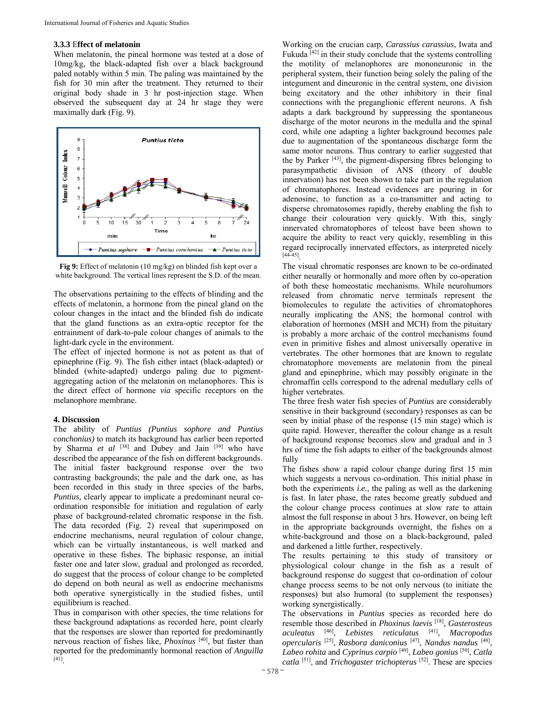# **3.3.3** E**ffect of melatonin**

When melatonin, the pineal hormone was tested at a dose of 10mg/kg, the black-adapted fish over a black background paled notably within 5 min. The paling was maintained by the fish for 30 min after the treatment. They returned to their original body shade in 3 hr post-injection stage. When observed the subsequent day at 24 hr stage they were maximally dark (Fig. 9).



**Fig 9:** Effect of melatonin (10 mg/kg) on blinded fish kept over a white background. The vertical lines represent the S.D. of the mean.

The observations pertaining to the effects of blinding and the effects of melatonin, a hormone from the pineal gland on the colour changes in the intact and the blinded fish do indicate that the gland functions as an extra-optic receptor for the entrainment of dark-to-pale colour changes of animals to the light-dark cycle in the environment.

The effect of injected hormone is not as potent as that of epinephrine (Fig. 9). The fish either intact (black-adapted) or blinded (white-adapted) undergo paling due to pigmentaggregating action of the melatonin on melanophores. This is the direct effect of hormone *via* specific receptors on the melanophore membrane.

### **4. Discussion**

The ability of *Puntius (Puntius sophore and Puntius conchonius)* to match its background has earlier been reported by Sharma *et al* <sup>[38]</sup> and Dubey and Jain <sup>[39]</sup> who have described the appearance of the fish on different backgrounds. The initial faster background response over the two contrasting backgrounds; the pale and the dark one, as has been recorded in this study in three species of the barbs, *Puntius,* clearly appear to implicate a predominant neural coordination responsible for initiation and regulation of early phase of background-related chromatic response in the fish. The data recorded (Fig. 2) reveal that superimposed on endocrine mechanisms, neural regulation of colour change, which can be virtually instantaneous, is well marked and operative in these fishes. The biphasic response, an initial faster one and later slow, gradual and prolonged as recorded, do suggest that the process of colour change to be completed do depend on both neural as well as endocrine mechanisms both operative synergistically in the studied fishes, until equilibrium is reached.

Thus in comparison with other species, the time relations for these background adaptations as recorded here, point clearly that the responses are slower than reported for predominantly nervous reaction of fishes like, *Phoxinus* [40], but faster than reported for the predominantly hormonal reaction of *Anguilla* [41].

Working on the crucian carp, *Carassius carassius*, Iwata and Fukuda  $[42]$  in their study conclude that the systems controlling the motility of melanophores are mononeuronic in the peripheral system, their function being solely the paling of the integument and dineuronic in the central system, one division being excitatory and the other inhibitory in their final connections with the preganglionic efferent neurons. A fish adapts a dark background by suppressing the spontaneous discharge of the motor neurons in the medulla and the spinal cord, while one adapting a lighter background becomes pale due to augmentation of the spontaneous discharge form the same motor neurons. Thus contrary to earlier suggested that the by Parker [43], the pigment-dispersing fibres belonging to parasympathetic division of ANS (theory of double innervation) has not been shown to take part in the regulation of chromatophores. Instead evidences are pouring in for adenosine, to function as a co-transmitter and acting to disperse chromatosomes rapidly, thereby enabling the fish to change their colouration very quickly. With this, singly innervated chromatophores of teleost have been shown to acquire the ability to react very quickly, resembling in this regard reciprocally innervated effectors, as interpreted nicely [44-45].

The visual chromatic responses are known to be co-ordinated either neurally or hormonally and more often by co-operation of both these homeostatic mechanisms. While neurohumors released from chromatic nerve terminals represent the biomolecules to regulate the activities of chromatophores neurally implicating the ANS; the hormonal control with elaboration of hormones (MSH and MCH) from the pituitary is probably a more archaic of the control mechanisms found even in primitive fishes and almost universally operative in vertebrates. The other hormones that are known to regulate chromatophore movements are melatonin from the pineal gland and epinephrine, which may possibly originate in the chromaffin cells correspond to the adrenal medullary cells of higher vertebrates.

The three fresh water fish species of *Puntius* are considerably sensitive in their background (secondary) responses as can be seen by initial phase of the response (15 min stage) which is quite rapid. However, thereafter the colour change as a result of background response becomes slow and gradual and in 3 hrs of time the fish adapts to either of the backgrounds almost fully

The fishes show a rapid colour change during first 15 min which suggests a nervous co-ordination. This initial phase in both the experiments *i.e.,* the paling as well as the darkening is fast. In later phase, the rates become greatly subdued and the colour change process continues at slow rate to attain almost the full response in about 3 hrs. However, on being left in the appropriate backgrounds overnight, the fishes on a white-background and those on a black-background, paled and darkened a little further, respectively.

The results pertaining to this study of transitory or physiological colour change in the fish as a result of background response do suggest that co-ordination of colour change process seems to be not only nervous (to initiate the responses) but also humoral (to supplement the responses) working synergistically.

The observations in *Puntius* species as recorded here do resemble those described in *Phoxinus laevis* [18], *Gasterosteus aculeatus* [46], *Lebistes reticulatus* [41], *Macropodus opercularis* [25], *Rasbora daniconius* [47], *Nandus nandus* [48], *Labeo rohita* and *Cyprinus carpio* [49], *Labeo gonius* [50], *Catla catla* [51], and *Trichogaster trichopterus* [52]. These are species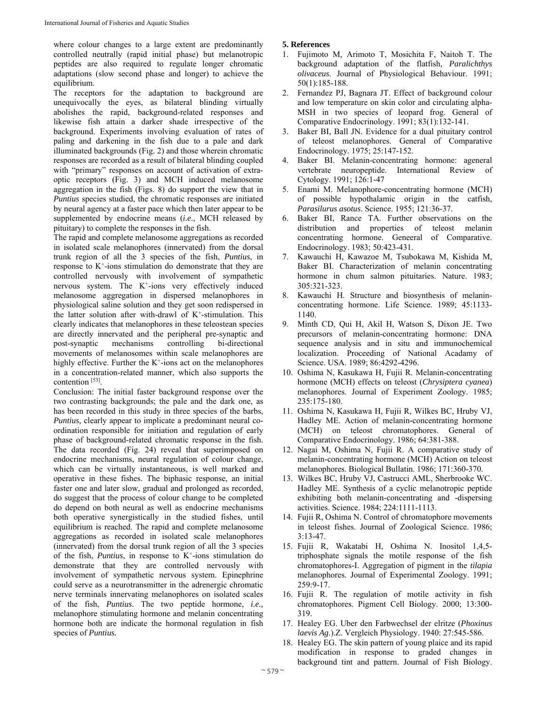where colour changes to a large extent are predominantly controlled neutrally (rapid initial phase) but melanotropic peptides are also required to regulate longer chromatic adaptations (slow second phase and longer) to achieve the equilibrium.

The receptors for the adaptation to background are unequivocally the eyes, as bilateral blinding virtually abolishes the rapid, background-related responses and likewise fish attain a darker shade irrespective of the background. Experiments involving evaluation of rates of paling and darkening in the fish due to a pale and dark illuminated backgrounds (Fig. 2) and those wherein chromatic responses are recorded as a result of bilateral blinding coupled with "primary" responses on account of activation of extraoptic receptors (Fig. 3) and MCH induced melanosome aggregation in the fish (Figs. 8) do support the view that in *Puntius* species studied, the chromatic responses are initiated by neural agency at a faster pace which then later appear to be supplemented by endocrine means (*i.e.,* MCH released by pituitary) to complete the responses in the fish.

The rapid and complete melanosome aggregations as recorded in isolated scale melanophores (innervated) from the dorsal trunk region of all the 3 species of the fish, *Puntius*, in response to  $K^+$ -ions stimulation do demonstrate that they are controlled nervously with involvement of sympathetic nervous system. The  $K^+$ -ions very effectively induced melanosome aggregation in dispersed melanophores in physiological saline solution and they get soon redispersed in the latter solution after with-drawl of  $K^+$ -stimulation. This clearly indicates that melanophores in these teleostean species are directly innervated and the peripheral pre-synaptic and post-synaptic mechanisms controlling bi-directional movements of melanosomes within scale melanophores are highly effective. Further the  $K^+$ -ions act on the melanophores in a concentration-related manner, which also supports the contention [53].

Conclusion: The initial faster background response over the two contrasting backgrounds; the pale and the dark one, as has been recorded in this study in three species of the barbs, *Puntius,* clearly appear to implicate a predominant neural coordination responsible for initiation and regulation of early phase of background-related chromatic response in the fish. The data recorded (Fig. 24) reveal that superimposed on endocrine mechanisms, neural regulation of colour change, which can be virtually instantaneous, is well marked and operative in these fishes. The biphasic response, an initial faster one and later slow, gradual and prolonged as recorded, do suggest that the process of colour change to be completed do depend on both neural as well as endocrine mechanisms both operative synergistically in the studied fishes, until equilibrium is reached. The rapid and complete melanosome aggregations as recorded in isolated scale melanophores (innervated) from the dorsal trunk region of all the 3 species of the fish, *Puntius*, in response to K+-ions stimulation do demonstrate that they are controlled nervously with involvement of sympathetic nervous system. Epinephrine could serve as a neurotransmitter in the adrenergic chromatic nerve terminals innervating melanophores on isolated scales of the fish, *Puntius*. The two peptide hormone, *i.e.,* melanophore stimulating hormone and melanin concentrating hormone both are indicate the hormonal regulation in fish species of *Puntius.* 

# **5. References**

- 1. Fujimoto M, Arimoto T, Mosichita F, Naitoh T. The background adaptation of the flatfish, *Paralichthys olivaceus*. Journal of Physiological Behaviour. 1991; 50(1):185-188.
- 2. Fernandez PJ, Bagnara JT. Effect of background colour and low temperature on skin color and circulating alpha-MSH in two species of leopard frog. General of Comparative Endocrinology. 1991; 83(1):132-141.
- Baker BI, Ball JN. Evidence for a dual pituitary control of teleost melanophores. General of Comparative Endocrinology*.* 1975; 25:147-152.
- 4. Baker BI. Melanin-concentrating hormone: ageneral vertebrate neuropeptide. International Review of Cytology. 1991; 126:1-47
- 5. Enami M. Melanophore-concentrating hormone (MCH) of possible hypothalamic origin in the catfish, *Parasilurus asotus*. Science. 1955; 121:36-37.
- 6. Baker BI, Rance TA. Further observations on the distribution and properties of teleost melanin concentrating hormone. Geneeral of Comparative. Endocrinology. 1983; 50:423-431.
- 7. Kawauchi H, Kawazoe M, Tsubokawa M, Kishida M, Baker BI. Characterization of melanin concentrating hormone in chum salmon pituitaries. Nature. 1983; 305:321-323.
- 8. Kawauchi H. Structure and biosynthesis of melaninconcentrating hormone. Life Science. 1989; 45:1133- 1140.
- 9. Minth CD, Qui H, Akil H, Watson S, Dixon JE. Two precursors of melanin-concentrating hormone: DNA sequence analysis and in situ and immunochemical localization. Proceeding of National Acadamy of Science. USA. 1989; 86:4292-4296.
- 10. Oshima N, Kasukawa H, Fujii R. Melanin-concentrating hormone (MCH) effects on teleost (*Chrysiptera cyanea*) melanophores. Journal of Experiment Zoology. 1985; 235:175-180.
- 11. Oshima N, Kasukawa H, Fujii R, Wilkes BC, Hruby VJ, Hadley ME. Action of melanin**-**concentrating hormone (MCH) on teleost chromatophores. General of Comparative Endocrinology. 1986; 64:381-388.
- 12. Nagai M, Oshima N, Fujii R. A comparative study of melanin-concentrating hormone (MCH) Action on teleost melanophores. Biological Bullatin. 1986; 171:360-370.
- 13. Wilkes BC, Hruby VJ, Castrucci AML, Sherbrooke WC. Hadley ME. Synthesis of a cyclic melanotropic peptide exhibiting both melanin-concentrating and -dispersing activities. Science. 1984; 224:1111-1113.
- 14. Fujii R, Oshima N. Control of chromatophore movements in teleost fishes. Journal of Zoological Science. 1986; 3:13-47.
- 15. Fujii R, Wakatabi H, Oshima N. Inositol 1,4,5 triphosphate signals the motile response of the fish chromatophores-I. Aggregation of pigment in the *tilapia* melanophores. Journal of Experimental Zoology. 1991; 259:9-17.
- 16. Fujii R. The regulation of motile activity in fish chromatophores. Pigment Cell Biology. 2000; 13:300- 319.
- 17. Healey EG. Uber den Farbwechsel der elritze (*Phoxinus laevis Ag*.).Z. Vergleich Physiology. 1940: 27:545-586.
- 18. Healey EG. The skin pattern of young plaice and its rapid modification in response to graded changes in background tint and pattern. Journal of Fish Biology.